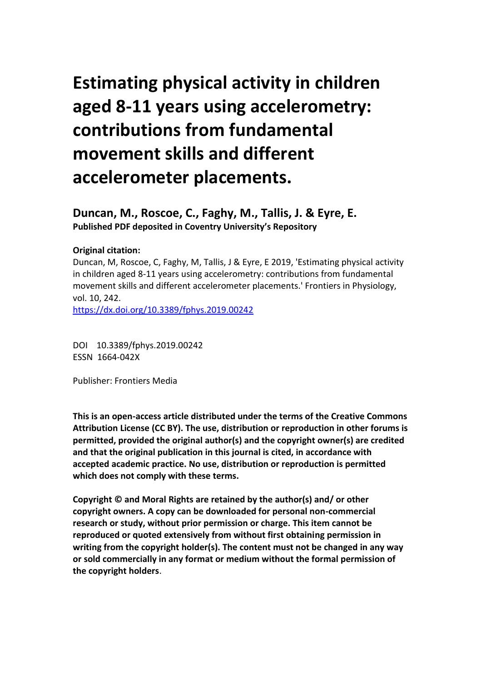# **Estimating physical activity in children aged 8-11 years using accelerometry: contributions from fundamental movement skills and different accelerometer placements.**

**Duncan, M., Roscoe, C., Faghy, M., Tallis, J. & Eyre, E. Published PDF deposited in Coventry University's Repository** 

#### **Original citation:**

Duncan, M, Roscoe, C, Faghy, M, Tallis, J & Eyre, E 2019, 'Estimating physical activity in children aged 8-11 years using accelerometry: contributions from fundamental movement skills and different accelerometer placements.' Frontiers in Physiology, vol. 10, 242.

https://dx.doi.org/10.3389/fphys.2019.00242

DOI 10.3389/fphys.2019.00242 ESSN 1664-042X

Publisher: Frontiers Media

**This is an open-access article distributed under the terms of the Creative Commons Attribution License (CC BY). The use, distribution or reproduction in other forums is permitted, provided the original author(s) and the copyright owner(s) are credited and that the original publication in this journal is cited, in accordance with accepted academic practice. No use, distribution or reproduction is permitted which does not comply with these terms.**

**Copyright © and Moral Rights are retained by the author(s) and/ or other copyright owners. A copy can be downloaded for personal non-commercial research or study, without prior permission or charge. This item cannot be reproduced or quoted extensively from without first obtaining permission in writing from the copyright holder(s). The content must not be changed in any way or sold commercially in any format or medium without the formal permission of the copyright holders**.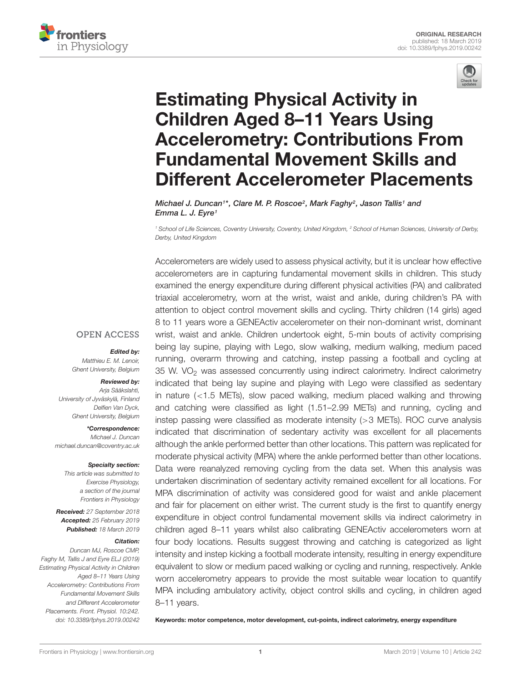



## Estimating Physical Activity in Children Aged 8–11 Years Using Accelerometry: Contributions From Fundamental Movement Skills and [Different Accelerometer Placements](https://www.frontiersin.org/articles/10.3389/fphys.2019.00242/full)

[Michael J. Duncan](http://loop.frontiersin.org/people/80188/overview)<sup>1\*</sup>, Clare M. P. Roscoe<sup>2</sup>, [Mark Faghy](http://loop.frontiersin.org/people/621813/overview)<sup>2</sup>, [Jason Tallis](http://loop.frontiersin.org/people/675756/overview)<sup>1</sup> and Emma L. J. Eyre<sup>1</sup>

<sup>1</sup> School of Life Sciences, Coventry University, Coventry, United Kingdom, <sup>2</sup> School of Human Sciences, University of Derby, Derby, United Kingdom

Accelerometers are widely used to assess physical activity, but it is unclear how effective accelerometers are in capturing fundamental movement skills in children. This study examined the energy expenditure during different physical activities (PA) and calibrated triaxial accelerometry, worn at the wrist, waist and ankle, during children's PA with attention to object control movement skills and cycling. Thirty children (14 girls) aged 8 to 11 years wore a GENEActiv accelerometer on their non-dominant wrist, dominant wrist, waist and ankle. Children undertook eight, 5-min bouts of activity comprising being lay supine, playing with Lego, slow walking, medium walking, medium paced running, overarm throwing and catching, instep passing a football and cycling at 35 W. VO<sub>2</sub> was assessed concurrently using indirect calorimetry. Indirect calorimetry indicated that being lay supine and playing with Lego were classified as sedentary in nature (<1.5 METs), slow paced walking, medium placed walking and throwing and catching were classified as light (1.51–2.99 METs) and running, cycling and instep passing were classified as moderate intensity (>3 METs). ROC curve analysis indicated that discrimination of sedentary activity was excellent for all placements although the ankle performed better than other locations. This pattern was replicated for moderate physical activity (MPA) where the ankle performed better than other locations. Data were reanalyzed removing cycling from the data set. When this analysis was undertaken discrimination of sedentary activity remained excellent for all locations. For MPA discrimination of activity was considered good for waist and ankle placement and fair for placement on either wrist. The current study is the first to quantify energy expenditure in object control fundamental movement skills via indirect calorimetry in children aged 8–11 years whilst also calibrating GENEActiv accelerometers worn at four body locations. Results suggest throwing and catching is categorized as light intensity and instep kicking a football moderate intensity, resulting in energy expenditure equivalent to slow or medium paced walking or cycling and running, respectively. Ankle worn accelerometry appears to provide the most suitable wear location to quantify MPA including ambulatory activity, object control skills and cycling, in children aged 8–11 years.

Keywords: motor competence, motor development, cut-points, indirect calorimetry, energy expenditure

#### **OPEN ACCESS**

#### Edited by:

Matthieu E. M. Lenoir, Ghent University, Belgium

#### Reviewed by:

Arja Sääkslahti, University of Jyväskylä, Finland Delfien Van Dyck, Ghent University, Belgium

\*Correspondence: Michael J. Duncan michael.duncan@coventry.ac.uk

#### Specialty section:

This article was submitted to Exercise Physiology, a section of the journal Frontiers in Physiology

Received: 27 September 2018 Accepted: 25 February 2019 Published: 18 March 2019

#### Citation:

Duncan MJ, Roscoe CMP, Faghy M, Tallis J and Eyre ELJ (2019) Estimating Physical Activity in Children Aged 8–11 Years Using Accelerometry: Contributions From Fundamental Movement Skills and Different Accelerometer Placements. Front. Physiol. 10:242. doi: [10.3389/fphys.2019.00242](https://doi.org/10.3389/fphys.2019.00242)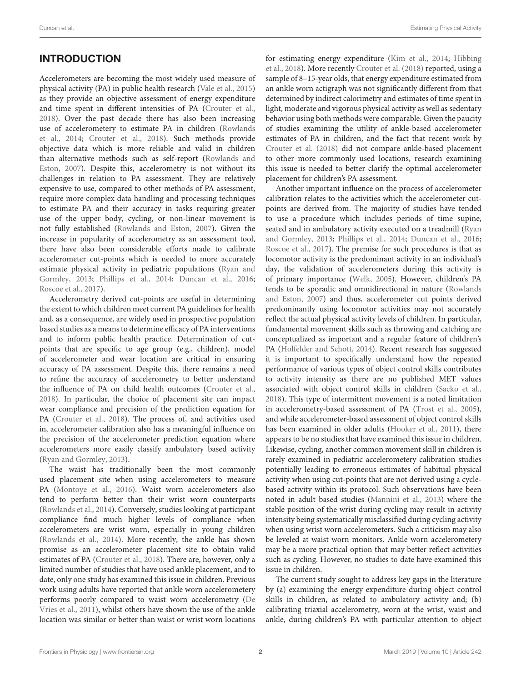## **INTRODUCTION**

Accelerometers are becoming the most widely used measure of physical activity (PA) in public health research [\(Vale et al.,](#page-8-0) [2015\)](#page-8-0) as they provide an objective assessment of energy expenditure and time spent in different intensities of PA [\(Crouter et al.,](#page-8-1) [2018\)](#page-8-1). Over the past decade there has also been increasing use of accelerometery to estimate PA in children [\(Rowlands](#page-8-2) [et al.,](#page-8-2) [2014;](#page-8-2) [Crouter et al.,](#page-8-1) [2018\)](#page-8-1). Such methods provide objective data which is more reliable and valid in children than alternative methods such as self-report [\(Rowlands and](#page-8-3) [Eston,](#page-8-3) [2007\)](#page-8-3). Despite this, accelerometry is not without its challenges in relation to PA assessment. They are relatively expensive to use, compared to other methods of PA assessment, require more complex data handling and processing techniques to estimate PA and their accuracy in tasks requiring greater use of the upper body, cycling, or non-linear movement is not fully established [\(Rowlands and Eston,](#page-8-3) [2007\)](#page-8-3). Given the increase in popularity of accelerometry as an assessment tool, there have also been considerable efforts made to calibrate accelerometer cut-points which is needed to more accurately estimate physical activity in pediatric populations [\(Ryan and](#page-8-4) [Gormley,](#page-8-4) [2013;](#page-8-4) [Phillips et al.,](#page-8-5) [2014;](#page-8-5) [Duncan et al.,](#page-8-6) [2016;](#page-8-6) [Roscoe et al.,](#page-8-7) [2017\)](#page-8-7).

Accelerometry derived cut-points are useful in determining the extent to which children meet current PA guidelines for health and, as a consequence, are widely used in prospective population based studies as a means to determine efficacy of PA interventions and to inform public health practice. Determination of cutpoints that are specific to age group (e.g., children), model of accelerometer and wear location are critical in ensuring accuracy of PA assessment. Despite this, there remains a need to refine the accuracy of accelerometry to better understand the influence of PA on child health outcomes [\(Crouter et al.,](#page-8-1) [2018\)](#page-8-1). In particular, the choice of placement site can impact wear compliance and precision of the prediction equation for PA [\(Crouter et al.,](#page-8-1) [2018\)](#page-8-1). The process of, and activities used in, accelerometer calibration also has a meaningful influence on the precision of the accelerometer prediction equation where accelerometers more easily classify ambulatory based activity [\(Ryan and Gormley,](#page-8-4) [2013\)](#page-8-4).

The waist has traditionally been the most commonly used placement site when using accelerometers to measure PA [\(Montoye et al.,](#page-8-8) [2016\)](#page-8-8). Waist worn accelerometers also tend to perform better than their wrist worn counterparts [\(Rowlands et al.,](#page-8-2) [2014\)](#page-8-2). Conversely, studies looking at participant compliance find much higher levels of compliance when accelerometers are wrist worn, especially in young children [\(Rowlands et al.,](#page-8-2) [2014\)](#page-8-2). More recently, the ankle has shown promise as an accelerometer placement site to obtain valid estimates of PA [\(Crouter et al.,](#page-8-1) [2018\)](#page-8-1). There are, however, only a limited number of studies that have used ankle placement, and to date, only one study has examined this issue in children. Previous work using adults have reported that ankle worn accelerometery performs poorly compared to waist worn accelerometry [\(De](#page-8-9) [Vries et al.,](#page-8-9) [2011\)](#page-8-9), whilst others have shown the use of the ankle location was similar or better than waist or wrist worn locations

for estimating energy expenditure [\(Kim et al.,](#page-8-10) [2014;](#page-8-10) [Hibbing](#page-8-11) [et al.,](#page-8-11) [2018\)](#page-8-11). More recently [Crouter et al.](#page-8-1) [\(2018\)](#page-8-1) reported, using a sample of 8–15-year olds, that energy expenditure estimated from an ankle worn actigraph was not significantly different from that determined by indirect calorimetry and estimates of time spent in light, moderate and vigorous physical activity as well as sedentary behavior using both methods were comparable. Given the paucity of studies examining the utility of ankle-based accelerometer estimates of PA in children, and the fact that recent work by [Crouter et al.](#page-8-1) [\(2018\)](#page-8-1) did not compare ankle-based placement to other more commonly used locations, research examining this issue is needed to better clarify the optimal accelerometer placement for children's PA assessment.

Another important influence on the process of accelerometer calibration relates to the activities which the accelerometer cutpoints are derived from. The majority of studies have tended to use a procedure which includes periods of time supine, seated and in ambulatory activity executed on a treadmill [\(Ryan](#page-8-4) [and Gormley,](#page-8-4) [2013;](#page-8-4) [Phillips et al.,](#page-8-5) [2014;](#page-8-5) [Duncan et al.,](#page-8-6) [2016;](#page-8-6) [Roscoe et al.,](#page-8-7) [2017\)](#page-8-7). The premise for such procedures is that as locomotor activity is the predominant activity in an individual's day, the validation of accelerometers during this activity is of primary importance [\(Welk,](#page-9-0) [2005\)](#page-9-0). However, children's PA tends to be sporadic and omnidirectional in nature [\(Rowlands](#page-8-3) [and Eston,](#page-8-3) [2007\)](#page-8-3) and thus, accelerometer cut points derived predominantly using locomotor activities may not accurately reflect the actual physical activity levels of children. In particular, fundamental movement skills such as throwing and catching are conceptualized as important and a regular feature of children's PA [\(Holfelder and Schott,](#page-8-12) [2014\)](#page-8-12). Recent research has suggested it is important to specifically understand how the repeated performance of various types of object control skills contributes to activity intensity as there are no published MET values associated with object control skills in children [\(Sacko et al.,](#page-8-13) [2018\)](#page-8-13). This type of intermittent movement is a noted limitation in accelerometry-based assessment of PA [\(Trost et al.,](#page-8-14) [2005\)](#page-8-14), and while accelerometer-based assessment of object control skills has been examined in older adults [\(Hooker et al.,](#page-8-15) [2011\)](#page-8-15), there appears to be no studies that have examined this issue in children. Likewise, cycling, another common movement skill in children is rarely examined in pediatric accelerometery calibration studies potentially leading to erroneous estimates of habitual physical activity when using cut-points that are not derived using a cyclebased activity within its protocol. Such observations have been noted in adult based studies [\(Mannini et al.,](#page-8-16) [2013\)](#page-8-16) where the stable position of the wrist during cycling may result in activity intensity being systematically misclassified during cycling activity when using wrist worn accelerometers. Such a criticism may also be leveled at waist worn monitors. Ankle worn accelerometery may be a more practical option that may better reflect activities such as cycling. However, no studies to date have examined this issue in children.

The current study sought to address key gaps in the literature by (a) examining the energy expenditure during object control skills in children, as related to ambulatory activity and; (b) calibrating triaxial accelerometry, worn at the wrist, waist and ankle, during children's PA with particular attention to object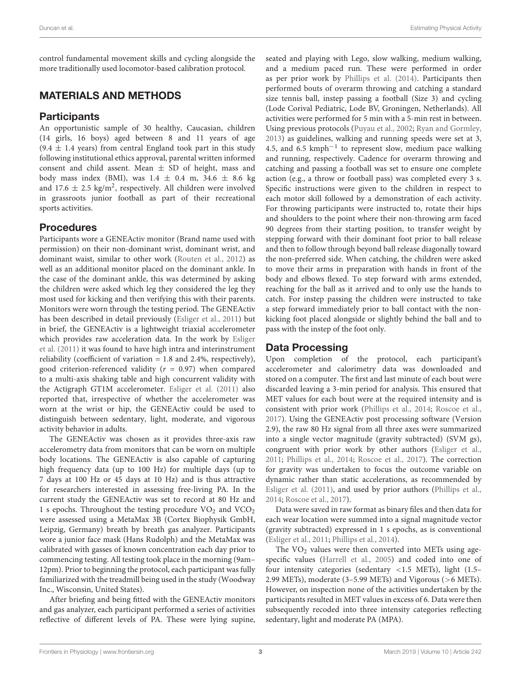Duncan et al. Estimating Physical Activity

control fundamental movement skills and cycling alongside the more traditionally used locomotor-based calibration protocol.

## MATERIALS AND METHODS

#### **Participants**

An opportunistic sample of 30 healthy, Caucasian, children (14 girls, 16 boys) aged between 8 and 11 years of age  $(9.4 \pm 1.4 \text{ years})$  from central England took part in this study following institutional ethics approval, parental written informed consent and child assent. Mean  $\pm$  SD of height, mass and body mass index (BMI), was  $1.4 \pm 0.4$  m,  $34.6 \pm 8.6$  kg and 17.6  $\pm$  2.5 kg/m<sup>2</sup>, respectively. All children were involved in grassroots junior football as part of their recreational sports activities.

#### Procedures

Participants wore a GENEActiv monitor (Brand name used with permission) on their non-dominant wrist, dominant wrist, and dominant waist, similar to other work [\(Routen et al.,](#page-8-17) [2012\)](#page-8-17) as well as an additional monitor placed on the dominant ankle. In the case of the dominant ankle, this was determined by asking the children were asked which leg they considered the leg they most used for kicking and then verifying this with their parents. Monitors were worn through the testing period. The GENEActiv has been described in detail previously [\(Esliger et al.,](#page-8-18) [2011\)](#page-8-18) but in brief, the GENEActiv is a lightweight triaxial accelerometer which provides raw acceleration data. In the work by [Esliger](#page-8-18) [et al.](#page-8-18) [\(2011\)](#page-8-18) it was found to have high intra and interinstrument reliability (coefficient of variation  $= 1.8$  and 2.4%, respectively), good criterion-referenced validity ( $r = 0.97$ ) when compared to a multi-axis shaking table and high concurrent validity with the Actigraph GT1M accelerometer. [Esliger et al.](#page-8-18) [\(2011\)](#page-8-18) also reported that, irrespective of whether the accelerometer was worn at the wrist or hip, the GENEActiv could be used to distinguish between sedentary, light, moderate, and vigorous activity behavior in adults.

The GENEActiv was chosen as it provides three-axis raw accelerometry data from monitors that can be worn on multiple body locations. The GENEActiv is also capable of capturing high frequency data (up to 100 Hz) for multiple days (up to 7 days at 100 Hz or 45 days at 10 Hz) and is thus attractive for researchers interested in assessing free-living PA. In the current study the GENEActiv was set to record at 80 Hz and 1 s epochs. Throughout the testing procedure  $VO<sub>2</sub>$  and  $VCO<sub>2</sub>$ were assessed using a MetaMax 3B (Cortex Biophysik GmbH, Leipzig, Germany) breath by breath gas analyzer. Participants wore a junior face mask (Hans Rudolph) and the MetaMax was calibrated with gasses of known concentration each day prior to commencing testing. All testing took place in the morning (9am– 12pm). Prior to beginning the protocol, each participant was fully familiarized with the treadmill being used in the study (Woodway Inc., Wisconsin, United States).

After briefing and being fitted with the GENEActiv monitors and gas analyzer, each participant performed a series of activities reflective of different levels of PA. These were lying supine, seated and playing with Lego, slow walking, medium walking, and a medium paced run. These were performed in order as per prior work by [Phillips et al.](#page-8-5) [\(2014\)](#page-8-5). Participants then performed bouts of overarm throwing and catching a standard size tennis ball, instep passing a football (Size 3) and cycling (Lode Corival Pediatric, Lode BV, Groningen, Netherlands). All activities were performed for 5 min with a 5-min rest in between. Using previous protocols [\(Puyau et al.,](#page-8-19) [2002;](#page-8-19) [Ryan and Gormley,](#page-8-4) [2013\)](#page-8-4) as guidelines, walking and running speeds were set at 3, 4.5, and 6.5 kmph−<sup>1</sup> to represent slow, medium pace walking and running, respectively. Cadence for overarm throwing and catching and passing a football was set to ensure one complete action (e.g., a throw or football pass) was completed every 3 s. Specific instructions were given to the children in respect to each motor skill followed by a demonstration of each activity. For throwing participants were instructed to, rotate their hips and shoulders to the point where their non-throwing arm faced 90 degrees from their starting position, to transfer weight by stepping forward with their dominant foot prior to ball release and then to follow through beyond ball release diagonally toward the non-preferred side. When catching, the children were asked to move their arms in preparation with hands in front of the body and elbows flexed. To step forward with arms extended, reaching for the ball as it arrived and to only use the hands to catch. For instep passing the children were instructed to take a step forward immediately prior to ball contact with the nonkicking foot placed alongside or slightly behind the ball and to pass with the instep of the foot only.

## Data Processing

Upon completion of the protocol, each participant's accelerometer and calorimetry data was downloaded and stored on a computer. The first and last minute of each bout were discarded leaving a 3-min period for analysis. This ensured that MET values for each bout were at the required intensity and is consistent with prior work [\(Phillips et al.,](#page-8-5) [2014;](#page-8-5) [Roscoe et al.,](#page-8-7) [2017\)](#page-8-7). Using the GENEActiv post processing software (Version 2.9), the raw 80 Hz signal from all three axes were summarized into a single vector magnitude (gravity subtracted) (SVM gs), congruent with prior work by other authors [\(Esliger et al.,](#page-8-18) [2011;](#page-8-18) [Phillips et al.,](#page-8-5) [2014;](#page-8-5) [Roscoe et al.,](#page-8-7) [2017\)](#page-8-7). The correction for gravity was undertaken to focus the outcome variable on dynamic rather than static accelerations, as recommended by [Esliger et al.](#page-8-18) [\(2011\)](#page-8-18), and used by prior authors [\(Phillips et al.,](#page-8-5) [2014;](#page-8-5) [Roscoe et al.,](#page-8-7) [2017\)](#page-8-7).

Data were saved in raw format as binary files and then data for each wear location were summed into a signal magnitude vector (gravity subtracted) expressed in 1 s epochs, as is conventional [\(Esliger et al.,](#page-8-18) [2011;](#page-8-18) [Phillips et al.,](#page-8-5) [2014\)](#page-8-5).

The  $VO<sub>2</sub>$  values were then converted into METs using agespecific values [\(Harrell et al.,](#page-8-20) [2005\)](#page-8-20) and coded into one of four intensity categories (sedentary <1.5 METs), light (1.5– 2.99 METs), moderate (3–5.99 METs) and Vigorous (>6 METs). However, on inspection none of the activities undertaken by the participants resulted in MET values in excess of 6. Data were then subsequently recoded into three intensity categories reflecting sedentary, light and moderate PA (MPA).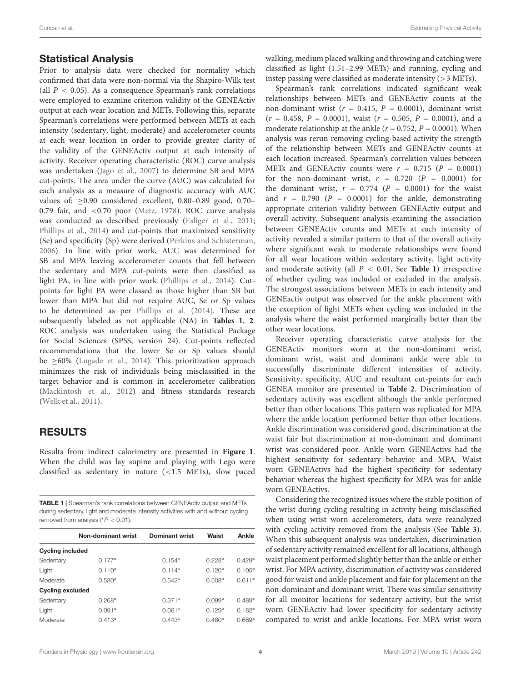#### Statistical Analysis

Prior to analysis data were checked for normality which confirmed that data were non-normal via the Shapiro-Wilk test (all  $P < 0.05$ ). As a consequence Spearman's rank correlations were employed to examine criterion validity of the GENEActiv output at each wear location and METs. Following this, separate Spearman's correlations were performed between METs at each intensity (sedentary, light, moderate) and accelerometer counts at each wear location in order to provide greater clarity of the validity of the GENEActiv output at each intensity of activity. Receiver operating characteristic (ROC) curve analysis was undertaken [\(Jago et al.,](#page-8-21) [2007\)](#page-8-21) to determine SB and MPA cut-points. The area under the curve (AUC) was calculated for each analysis as a measure of diagnostic accuracy with AUC values of;  $\geq$  0.90 considered excellent, 0.80–0.89 good, 0.70– 0.79 fair, and <0.70 poor [\(Metz,](#page-8-22) [1978\)](#page-8-22). ROC curve analysis was conducted as described previously [\(Esliger et al.,](#page-8-18) [2011;](#page-8-18) [Phillips et al.,](#page-8-5) [2014\)](#page-8-5) and cut-points that maximized sensitivity (Se) and specificity (Sp) were derived [\(Perkins and Schisterman,](#page-8-23) [2006\)](#page-8-23). In line with prior work, AUC was determined for SB and MPA leaving accelerometer counts that fell between the sedentary and MPA cut-points were then classified as light PA, in line with prior work [\(Phillips et al.,](#page-8-5) [2014\)](#page-8-5). Cutpoints for light PA were classed as those higher than SB but lower than MPA but did not require AUC, Se or Sp values to be determined as per [Phillips et al.](#page-8-5) [\(2014\)](#page-8-5). These are subsequently labeled as not applicable (NA) in **[Tables 1](#page-4-0)**, **[2](#page-5-0)**. ROC analysis was undertaken using the Statistical Package for Social Sciences (SPSS, version 24). Cut-points reflected recommendations that the lower Se or Sp values should be ≥60% [\(Lugade et al.,](#page-8-24) [2014\)](#page-8-24). This prioritization approach minimizes the risk of individuals being misclassified in the target behavior and is common in accelerometer calibration [\(Mackintosh et al.,](#page-8-25) [2012\)](#page-8-25) and fitness standards research [\(Welk et al.,](#page-9-1) [2011\)](#page-9-1).

## RESULTS

Results from indirect calorimetry are presented in **[Figure 1](#page-5-1)**. When the child was lay supine and playing with Lego were classified as sedentary in nature (<1.5 METs), slow paced

<span id="page-4-0"></span>TABLE 1 | Spearman's rank correlations between GENEActiv output and METs during sedentary, light and moderate intensity activities with and without cycling removed from analysis ( $P < 0.01$ ).

|                         | Non-dominant wrist | <b>Dominant wrist</b> | Waist    | Ankle    |
|-------------------------|--------------------|-----------------------|----------|----------|
| <b>Cycling included</b> |                    |                       |          |          |
| Sedentary               | $0.177*$           | $0.154*$              | $0.228*$ | $0.429*$ |
| Light                   | $0.110*$           | $0.114*$              | $0.120*$ | $0.105*$ |
| Moderate                | $0.530*$           | $0.542*$              | $0.508*$ | $0.611*$ |
| <b>Cycling excluded</b> |                    |                       |          |          |
| Sedentary               | $0.268*$           | $0.371*$              | $0.099*$ | $0.489*$ |
| Light                   | $0.091*$           | $0.061*$              | $0.129*$ | $0.182*$ |
| Moderate                | $0.413*$           | $0.443*$              | $0.480*$ | $0.689*$ |
|                         |                    |                       |          |          |

walking, medium placed walking and throwing and catching were classified as light (1.51–2.99 METs) and running, cycling and instep passing were classified as moderate intensity (>3 METs).

Spearman's rank correlations indicated significant weak relationships between METs and GENEActiv counts at the non-dominant wrist ( $r = 0.415$ ,  $P = 0.0001$ ), dominant wrist  $(r = 0.458, P = 0.0001)$ , waist  $(r = 0.505, P = 0.0001)$ , and a moderate relationship at the ankle ( $r = 0.752$ ,  $P = 0.0001$ ). When analysis was rerun removing cycling-based activity the strength of the relationship between METs and GENEActiv counts at each location increased. Spearman's correlation values between METs and GENEActiv counts were  $r = 0.715$  ( $P = 0.0001$ ) for the non-dominant wrist,  $r = 0.720$  ( $P = 0.0001$ ) for the dominant wrist,  $r = 0.774$  ( $P = 0.0001$ ) for the waist and  $r = 0.790$  ( $P = 0.0001$ ) for the ankle, demonstrating appropriate criterion validity between GENEActiv output and overall activity. Subsequent analysis examining the association between GENEActiv counts and METs at each intensity of activity revealed a similar pattern to that of the overall activity where significant weak to moderate relationships were found for all wear locations within sedentary activity, light activity and moderate activity (all  $P < 0.01$ , See **[Table 1](#page-4-0)**) irrespective of whether cycling was included or excluded in the analysis. The strongest associations between METs in each intensity and GENEactiv output was observed for the ankle placement with the exception of light METs when cycling was included in the analysis where the waist performed marginally better than the other wear locations.

Receiver operating characteristic curve analysis for the GENEActiv monitors worn at the non-dominant wrist, dominant wrist, waist and dominant ankle were able to successfully discriminate different intensities of activity. Sensitivity, specificity, AUC and resultant cut-points for each GENEA monitor are presented in **[Table 2](#page-5-0)**. Discrimination of sedentary activity was excellent although the ankle performed better than other locations. This pattern was replicated for MPA where the ankle location performed better than other locations. Ankle discrimination was considered good, discrimination at the waist fair but discrimination at non-dominant and dominant wrist was considered poor. Ankle worn GENEActivs had the highest sensitivity for sedentary behavior and MPA. Waist worn GENEActivs had the highest specificity for sedentary behavior whereas the highest specificity for MPA was for ankle worn GENEActivs.

Considering the recognized issues where the stable position of the wrist during cycling resulting in activity being misclassified when using wrist worn accelerometers, data were reanalyzed with cycling activity removed from the analysis (See **[Table 3](#page-6-0)**). When this subsequent analysis was undertaken, discrimination of sedentary activity remained excellent for all locations, although waist placement performed slightly better than the ankle or either wrist. For MPA activity, discrimination of activity was considered good for waist and ankle placement and fair for placement on the non-dominant and dominant wrist. There was similar sensitivity for all monitor locations for sedentary activity, but the wrist worn GENEActiv had lower specificity for sedentary activity compared to wrist and ankle locations. For MPA wrist worn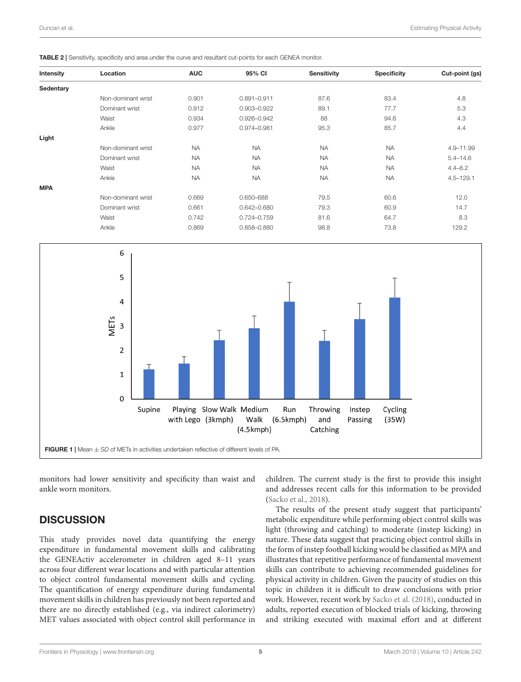<span id="page-5-0"></span>

| Intensity  | Location           | <b>AUC</b> | 95% CI          | <b>Sensitivity</b> | <b>Specificity</b> | Cut-point (gs) |
|------------|--------------------|------------|-----------------|--------------------|--------------------|----------------|
| Sedentary  |                    |            |                 |                    |                    |                |
|            | Non-dominant wrist | 0.901      | $0.891 - 0.911$ | 87.6               | 83.4               | 4.8            |
|            | Dominant wrist     | 0.912      | 0.903-0.922     | 89.1               | 77.7               | 5.3            |
|            | Waist              | 0.934      | 0.926-0.942     | 88                 | 94.6               | 4.3            |
|            | Ankle              | 0.977      | 0.974-0.981     | 95.3               | 85.7               | 4.4            |
| Light      |                    |            |                 |                    |                    |                |
|            | Non-dominant wrist | <b>NA</b>  | <b>NA</b>       | <b>NA</b>          | <b>NA</b>          | 4.9-11.99      |
|            | Dominant wrist     | <b>NA</b>  | <b>NA</b>       | <b>NA</b>          | <b>NA</b>          | $5.4 - 14.6$   |
|            | Waist              | <b>NA</b>  | <b>NA</b>       | <b>NA</b>          | <b>NA</b>          | $4.4 - 8.2$    |
|            | Ankle              | <b>NA</b>  | <b>NA</b>       | <b>NA</b>          | <b>NA</b>          | $4.5 - 129.1$  |
| <b>MPA</b> |                    |            |                 |                    |                    |                |
|            | Non-dominant wrist | 0.669      | 0.650-688       | 79.5               | 60.6               | 12.0           |
|            | Dominant wrist     | 0.661      | 0.642-0.680     | 79.3               | 60.9               | 14.7           |
|            | Waist              | 0.742      | 0.724-0.759     | 81.6               | 64.7               | 8.3            |
|            | Ankle              | 0.869      | 0.858-0.880     | 98.8               | 73.8               | 129.2          |
|            |                    |            |                 |                    |                    |                |



<span id="page-5-1"></span>monitors had lower sensitivity and specificity than waist and ankle worn monitors.

#### **DISCUSSION**

This study provides novel data quantifying the energy expenditure in fundamental movement skills and calibrating the GENEActiv accelerometer in children aged 8–11 years across four different wear locations and with particular attention to object control fundamental movement skills and cycling. The quantification of energy expenditure during fundamental movement skills in children has previously not been reported and there are no directly established (e.g., via indirect calorimetry) MET values associated with object control skill performance in

children. The current study is the first to provide this insight and addresses recent calls for this information to be provided [\(Sacko et al.,](#page-8-13) [2018\)](#page-8-13).

The results of the present study suggest that participants' metabolic expenditure while performing object control skills was light (throwing and catching) to moderate (instep kicking) in nature. These data suggest that practicing object control skills in the form of instep football kicking would be classified as MPA and illustrates that repetitive performance of fundamental movement skills can contribute to achieving recommended guidelines for physical activity in children. Given the paucity of studies on this topic in children it is difficult to draw conclusions with prior work. However, recent work by [Sacko et al.](#page-8-13) [\(2018\)](#page-8-13), conducted in adults, reported execution of blocked trials of kicking, throwing and striking executed with maximal effort and at different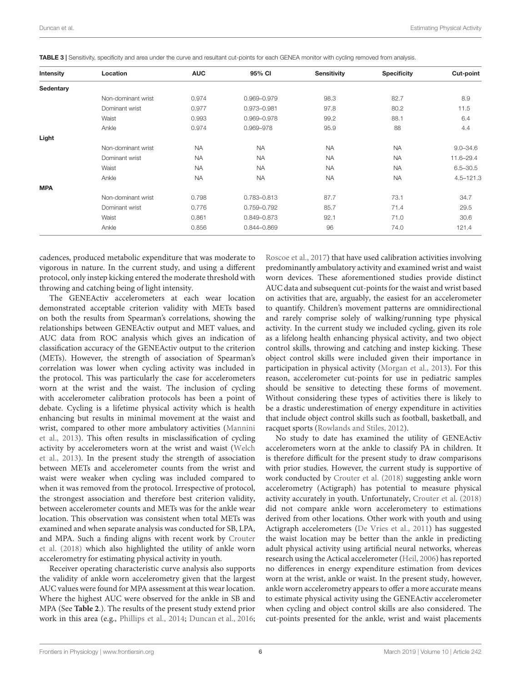| Intensity  | Location           | <b>AUC</b> | 95% CI      | <b>Sensitivity</b> | <b>Specificity</b> | Cut-point     |
|------------|--------------------|------------|-------------|--------------------|--------------------|---------------|
| Sedentary  |                    |            |             |                    |                    |               |
|            | Non-dominant wrist | 0.974      | 0.969-0.979 | 98.3               | 82.7               | 8.9           |
|            | Dominant wrist     | 0.977      | 0.973-0.981 | 97.8               | 80.2               | 11.5          |
|            | Waist              | 0.993      | 0.969-0.978 | 99.2               | 88.1               | 6.4           |
|            | Ankle              | 0.974      | 0.969-978   | 95.9               | 88                 | 4.4           |
| Light      |                    |            |             |                    |                    |               |
|            | Non-dominant wrist | <b>NA</b>  | <b>NA</b>   | <b>NA</b>          | <b>NA</b>          | $9.0 - 34.6$  |
|            | Dominant wrist     | <b>NA</b>  | <b>NA</b>   | <b>NA</b>          | <b>NA</b>          | 11.6-29.4     |
|            | Waist              | <b>NA</b>  | <b>NA</b>   | <b>NA</b>          | <b>NA</b>          | $6.5 - 30.5$  |
|            | Ankle              | <b>NA</b>  | <b>NA</b>   | <b>NA</b>          | <b>NA</b>          | $4.5 - 121.3$ |
| <b>MPA</b> |                    |            |             |                    |                    |               |
|            | Non-dominant wrist | 0.798      | 0.783-0.813 | 87.7               | 73.1               | 34.7          |
|            | Dominant wrist     | 0.776      | 0.759-0.792 | 85.7               | 71.4               | 29.5          |
|            | Waist              | 0.861      | 0.849-0.873 | 92.1               | 71.0               | 30.6          |
|            | Ankle              | 0.856      | 0.844-0.869 | 96                 | 74.0               | 121.4         |
|            |                    |            |             |                    |                    |               |

<span id="page-6-0"></span>TABLE 3 | Sensitivity, specificity and area under the curve and resultant cut-points for each GENEA monitor with cycling removed from analysis.

cadences, produced metabolic expenditure that was moderate to vigorous in nature. In the current study, and using a different protocol, only instep kicking entered the moderate threshold with throwing and catching being of light intensity.

The GENEActiv accelerometers at each wear location demonstrated acceptable criterion validity with METs based on both the results from Spearman's correlations, showing the relationships between GENEActiv output and MET values, and AUC data from ROC analysis which gives an indication of classification accuracy of the GENEActiv output to the criterion (METs). However, the strength of association of Spearman's correlation was lower when cycling activity was included in the protocol. This was particularly the case for accelerometers worn at the wrist and the waist. The inclusion of cycling with accelerometer calibration protocols has been a point of debate. Cycling is a lifetime physical activity which is health enhancing but results in minimal movement at the waist and wrist, compared to other more ambulatory activities [\(Mannini](#page-8-16) [et al.,](#page-8-16) [2013\)](#page-8-16). This often results in misclassification of cycling activity by accelerometers worn at the wrist and waist [\(Welch](#page-8-26) [et al.,](#page-8-26) [2013\)](#page-8-26). In the present study the strength of association between METs and accelerometer counts from the wrist and waist were weaker when cycling was included compared to when it was removed from the protocol. Irrespective of protocol, the strongest association and therefore best criterion validity, between accelerometer counts and METs was for the ankle wear location. This observation was consistent when total METs was examined and when separate analysis was conducted for SB, LPA, and MPA. Such a finding aligns with recent work by [Crouter](#page-8-1) [et al.](#page-8-1) [\(2018\)](#page-8-1) which also highlighted the utility of ankle worn accelerometry for estimating physical activity in youth.

Receiver operating characteristic curve analysis also supports the validity of ankle worn accelerometry given that the largest AUC values were found for MPA assessment at this wear location. Where the highest AUC were observed for the ankle in SB and MPA (See **[Table 2](#page-5-0)**.). The results of the present study extend prior work in this area (e.g., [Phillips et al.,](#page-8-5) [2014;](#page-8-5) [Duncan et al.,](#page-8-6) [2016;](#page-8-6)

[Roscoe et al.,](#page-8-7) [2017\)](#page-8-7) that have used calibration activities involving predominantly ambulatory activity and examined wrist and waist worn devices. These aforementioned studies provide distinct AUC data and subsequent cut-points for the waist and wrist based on activities that are, arguably, the easiest for an accelerometer to quantify. Children's movement patterns are omnidirectional and rarely comprise solely of walking/running type physical activity. In the current study we included cycling, given its role as a lifelong health enhancing physical activity, and two object control skills, throwing and catching and instep kicking. These object control skills were included given their importance in participation in physical activity [\(Morgan et al.,](#page-8-27) [2013\)](#page-8-27). For this reason, accelerometer cut-points for use in pediatric samples should be sensitive to detecting these forms of movement. Without considering these types of activities there is likely to be a drastic underestimation of energy expenditure in activities that include object control skills such as football, basketball, and racquet sports [\(Rowlands and Stiles,](#page-8-28) [2012\)](#page-8-28).

No study to date has examined the utility of GENEActiv accelerometers worn at the ankle to classify PA in children. It is therefore difficult for the present study to draw comparisons with prior studies. However, the current study is supportive of work conducted by [Crouter et al.](#page-8-1) [\(2018\)](#page-8-1) suggesting ankle worn accelerometry (Actigraph) has potential to measure physical activity accurately in youth. Unfortunately, [Crouter et al.](#page-8-1) [\(2018\)](#page-8-1) did not compare ankle worn accelerometery to estimations derived from other locations. Other work with youth and using Actigraph accelerometers [\(De Vries et al.,](#page-8-9) [2011\)](#page-8-9) has suggested the waist location may be better than the ankle in predicting adult physical activity using artificial neural networks, whereas research using the Actical accelerometer [\(Heil,](#page-8-29) [2006\)](#page-8-29) has reported no differences in energy expenditure estimation from devices worn at the wrist, ankle or waist. In the present study, however, ankle worn accelerometry appears to offer a more accurate means to estimate physical activity using the GENEActiv accelerometer when cycling and object control skills are also considered. The cut-points presented for the ankle, wrist and waist placements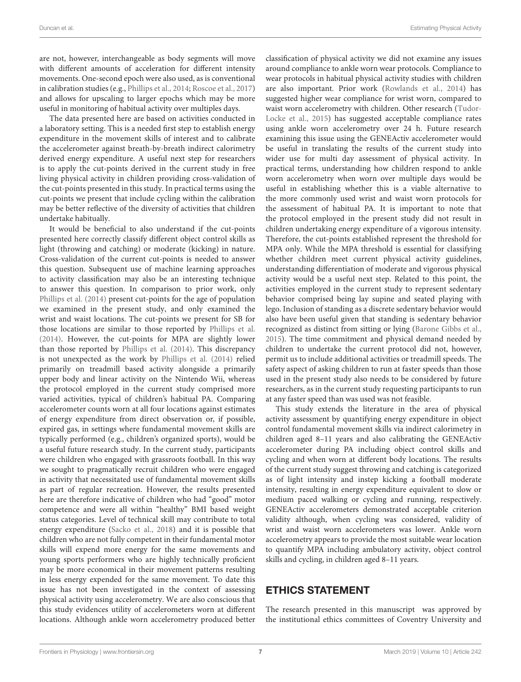are not, however, interchangeable as body segments will move with different amounts of acceleration for different intensity movements. One-second epoch were also used, as is conventional in calibration studies (e.g., [Phillips et al.,](#page-8-5) [2014;](#page-8-5) [Roscoe et al.,](#page-8-7) [2017\)](#page-8-7) and allows for upscaling to larger epochs which may be more useful in monitoring of habitual activity over multiples days.

The data presented here are based on activities conducted in a laboratory setting. This is a needed first step to establish energy expenditure in the movement skills of interest and to calibrate the accelerometer against breath-by-breath indirect calorimetry derived energy expenditure. A useful next step for researchers is to apply the cut-points derived in the current study in free living physical activity in children providing cross-validation of the cut-points presented in this study. In practical terms using the cut-points we present that include cycling within the calibration may be better reflective of the diversity of activities that children undertake habitually.

It would be beneficial to also understand if the cut-points presented here correctly classify different object control skills as light (throwing and catching) or moderate (kicking) in nature. Cross-validation of the current cut-points is needed to answer this question. Subsequent use of machine learning approaches to activity classification may also be an interesting technique to answer this question. In comparison to prior work, only [Phillips et al.](#page-8-5) [\(2014\)](#page-8-5) present cut-points for the age of population we examined in the present study, and only examined the wrist and waist locations. The cut-points we present for SB for those locations are similar to those reported by [Phillips et al.](#page-8-5) [\(2014\)](#page-8-5). However, the cut-points for MPA are slightly lower than those reported by [Phillips et al.](#page-8-5) [\(2014\)](#page-8-5). This discrepancy is not unexpected as the work by [Phillips et al.](#page-8-5) [\(2014\)](#page-8-5) relied primarily on treadmill based activity alongside a primarily upper body and linear activity on the Nintendo Wii, whereas the protocol employed in the current study comprised more varied activities, typical of children's habitual PA. Comparing accelerometer counts worn at all four locations against estimates of energy expenditure from direct observation or, if possible, expired gas, in settings where fundamental movement skills are typically performed (e.g., children's organized sports), would be a useful future research study. In the current study, participants were children who engaged with grassroots football. In this way we sought to pragmatically recruit children who were engaged in activity that necessitated use of fundamental movement skills as part of regular recreation. However, the results presented here are therefore indicative of children who had "good" motor competence and were all within "healthy" BMI based weight status categories. Level of technical skill may contribute to total energy expenditure [\(Sacko et al.,](#page-8-13) [2018\)](#page-8-13) and it is possible that children who are not fully competent in their fundamental motor skills will expend more energy for the same movements and young sports performers who are highly technically proficient may be more economical in their movement patterns resulting in less energy expended for the same movement. To date this issue has not been investigated in the context of assessing physical activity using accelerometry. We are also conscious that this study evidences utility of accelerometers worn at different locations. Although ankle worn accelerometry produced better

classification of physical activity we did not examine any issues around compliance to ankle worn wear protocols. Compliance to wear protocols in habitual physical activity studies with children are also important. Prior work [\(Rowlands et al.,](#page-8-2) [2014\)](#page-8-2) has suggested higher wear compliance for wrist worn, compared to waist worn accelerometry with children. Other research [\(Tudor-](#page-8-30)[Locke et al.,](#page-8-30) [2015\)](#page-8-30) has suggested acceptable compliance rates using ankle worn accelerometry over 24 h. Future research examining this issue using the GENEActiv accelerometer would be useful in translating the results of the current study into wider use for multi day assessment of physical activity. In practical terms, understanding how children respond to ankle worn accelerometry when worn over multiple days would be useful in establishing whether this is a viable alternative to the more commonly used wrist and waist worn protocols for the assessment of habitual PA. It is important to note that the protocol employed in the present study did not result in children undertaking energy expenditure of a vigorous intensity. Therefore, the cut-points established represent the threshold for MPA only. While the MPA threshold is essential for classifying whether children meet current physical activity guidelines, understanding differentiation of moderate and vigorous physical activity would be a useful next step. Related to this point, the activities employed in the current study to represent sedentary behavior comprised being lay supine and seated playing with lego. Inclusion of standing as a discrete sedentary behavior would also have been useful given that standing is sedentary behavior recognized as distinct from sitting or lying [\(Barone Gibbs et al.,](#page-8-31) [2015\)](#page-8-31). The time commitment and physical demand needed by children to undertake the current protocol did not, however, permit us to include additional activities or treadmill speeds. The safety aspect of asking children to run at faster speeds than those used in the present study also needs to be considered by future researchers, as in the current study requesting participants to run at any faster speed than was used was not feasible.

This study extends the literature in the area of physical activity assessment by quantifying energy expenditure in object control fundamental movement skills via indirect calorimetry in children aged 8–11 years and also calibrating the GENEActiv accelerometer during PA including object control skills and cycling and when worn at different body locations. The results of the current study suggest throwing and catching is categorized as of light intensity and instep kicking a football moderate intensity, resulting in energy expenditure equivalent to slow or medium paced walking or cycling and running, respectively. GENEActiv accelerometers demonstrated acceptable criterion validity although, when cycling was considered, validity of wrist and waist worn accelerometers was lower. Ankle worn accelerometry appears to provide the most suitable wear location to quantify MPA including ambulatory activity, object control skills and cycling, in children aged 8–11 years.

#### ETHICS STATEMENT

The research presented in this manuscript was approved by the institutional ethics committees of Coventry University and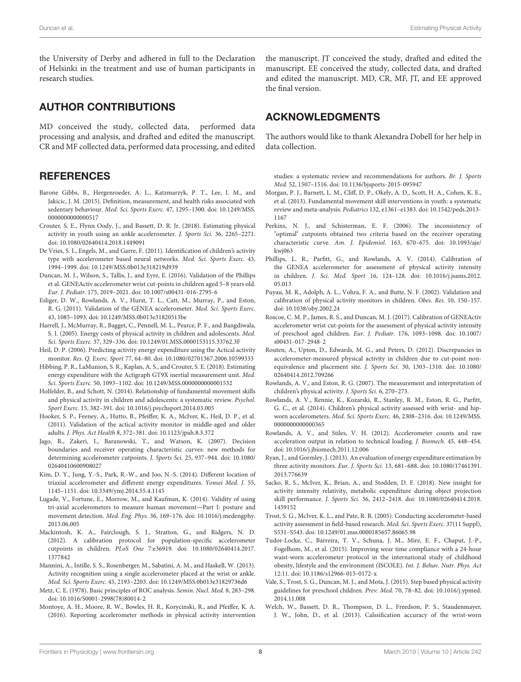the University of Derby and adhered in full to the Declaration of Helsinki in the treatment and use of human participants in research studies.

#### AUTHOR CONTRIBUTIONS

MD conceived the study, collected data, performed data processing and analysis, and drafted and edited the manuscript. CR and MF collected data, performed data processing, and edited

#### **REFERENCES**

- <span id="page-8-31"></span>Barone Gibbs, B., Hergenroeder, A. L., Katzmarzyk, P. T., Lee, I. M., and Jakicic, J. M. (2015). Definition, measurement, and health risks associated with sedentary behaviour. Med. Sci. Sports Exerc. 47, 1295–1300. [doi: 10.1249/MSS.](https://doi.org/10.1249/MSS.0000000000000517) 000000000000517
- <span id="page-8-1"></span>Crouter, S. E., Flynn Oody, J., and Bassett, D. R. Jr. (2018). Estimating physical activity in youth using an ankle accelerometer. J. Sports Sci. 36, 2265–2271. [doi: 10.1080/02640414.2018.1449091](https://doi.org/10.1080/02640414.2018.1449091)
- <span id="page-8-9"></span>De Vries, S. I., Engels, M., and Garre, F. (2011). Identification of children's activity type with accelerometer based neural networks. Med. Sci. Sports Exerc. 43, 1994–1999. [doi: 10.1249/MSS.0b013e318219d939](https://doi.org/10.1249/MSS.0b013e318219d939)
- <span id="page-8-6"></span>Duncan, M. J., Wilson, S., Tallis, J., and Eyre, E. (2016). Validation of the Phillips et al. GENEActiv accelerometer wrist cut-points in children aged 5–8 years old. Eur. J. Pediatr. 175, 2019–2021. [doi: 10.1007/s00431-016-2795-6](https://doi.org/10.1007/s00431-016-2795-6)
- <span id="page-8-18"></span>Esliger, D. W., Rowlands, A. V., Hurst, T. L., Catt, M., Murray, P., and Eston, R. G. (2011). Validation of the GENEA accelerometer. Med. Sci. Sports Exerc. 43, 1085–1093. [doi: 10.1249/MSS.0b013e31820513be](https://doi.org/10.1249/MSS.0b013e31820513be)
- <span id="page-8-20"></span>Harrell, J., McMurray, R., Bagget, C., Pennell, M. L., Pearce, P. F., and Bangdiwala, S. I. (2005). Energy costs of physical activity in children and adolescents. Med. Sci. Sports Exerc. 37, 329–336. [doi: 10.1249/01.MSS.0000153115.33762.3F](https://doi.org/10.1249/01.MSS.0000153115.33762.3F)
- <span id="page-8-29"></span>Heil, D. P. (2006). Predicting activity energy expenditure using the Actical activity monitor. Res. Q. Exerc. Sport 77, 64–80. [doi: 10.1080/02701367.2006.10599333](https://doi.org/10.1080/02701367.2006.10599333)
- <span id="page-8-11"></span>Hibbing, P. R., LaMunion, S. R., Kaplan, A. S., and Crouter, S. E. (2018). Estimating energy expenditure with the Actigraph GT9X inertial measurement unit. Med. Sci. Sports Exerc. 50, 1093–1102. [doi: 10.1249/MSS.0000000000001532](https://doi.org/10.1249/MSS.0000000000001532)
- <span id="page-8-12"></span>Holfelder, B., and Schott, N. (2014). Relationship of fundamental movement skills and physical activity in children and adolescents: a systematic review. Psychol. Sport Exerc. 15, 382–391. [doi: 10.1016/j.psychsport.2014.03.005](https://doi.org/10.1016/j.psychsport.2014.03.005)
- <span id="page-8-15"></span>Hooker, S. P., Feeney, A., Hutto, B., Pfeiffer, K. A., McIver, K., Heil, D. P., et al. (2011). Validation of the actical activity monitor in middle-aged and older adults. J. Phys. Act Health 8, 372–381. [doi: 10.1123/jpah.8.3.372](https://doi.org/10.1123/jpah.8.3.372)
- <span id="page-8-21"></span>Jago, R., Zakeri, I., Baranowski, T., and Watson, K. (2007). Decision boundaries and receiver operating characteristic curves: new methods for determining accelerometer cutpoints. J. Sports Sci. 25, 937–944. [doi: 10.1080/](https://doi.org/10.1080/02640410600908027) [02640410600908027](https://doi.org/10.1080/02640410600908027)
- <span id="page-8-10"></span>Kim, D. Y., Jung, Y.-S., Park, R.-W., and Joo, N.-S. (2014). Different location of triaxial accelerometer and different energy expenditures. Yonsei Med. J. 55, 1145–1151. [doi: 10.3349/ymj.2014.55.4.1145](https://doi.org/10.3349/ymj.2014.55.4.1145)
- <span id="page-8-24"></span>Lugade, V., Fortune, E., Morrow, M., and Kaufman, K. (2014). Validity of using tri-axial accelerometers to measure human movement—Part I: posture and movement detection. Med. Eng. Phys. 36, 169–176. [doi: 10.1016/j.medengphy.](https://doi.org/10.1016/j.medengphy.2013.06.005) [2013.06.005](https://doi.org/10.1016/j.medengphy.2013.06.005)
- <span id="page-8-25"></span>Mackintosh, K. A., Fairclough, S. J., Stratton, G., and Ridgers, N. D. (2012). A calibration protocol for population-specific accelerometer cutpoints in children. PLoS One 7:e36919. [doi: 10.1080/02640414.2017.](https://doi.org/10.1080/02640414.2017.1377842) [1377842](https://doi.org/10.1080/02640414.2017.1377842)
- <span id="page-8-16"></span>Mannini, A., Intille, S. S., Rosenberger, M., Sabatini, A. M., and Haskell, W. (2013). Activity recognition using a single accelerometer placed at the wrist or ankle. Med. Sci. Sports Exerc. 45, 2193–2203. [doi: 10.1249/MSS.0b013e31829736d6](https://doi.org/10.1249/MSS.0b013e31829736d6)
- <span id="page-8-22"></span>Metz, C. E. (1978). Basic principles of ROC analysis. Semin. Nucl. Med. 8, 283–298. [doi: 10.1016/S0001-2998\(78\)80014-2](https://doi.org/10.1016/S0001-2998(78)80014-2)
- <span id="page-8-8"></span>Montoye, A. H., Moore, R. W., Bowles, H. R., Korycinski, R., and Pfeiffer, K. A. (2016). Reporting accelerometer methods in physical activity intervention

the manuscript. JT conceived the study, drafted and edited the manuscript. EE conceived the study, collected data, and drafted and edited the manuscript. MD, CR, MF, JT, and EE approved the final version.

## ACKNOWLEDGMENTS

The authors would like to thank Alexandra Dobell for her help in data collection.

studies: a systematic review and recommendations for authors. Br. J. Sports Med. 52, 1507–1516. [doi: 10.1136/bjsports-2015-095947](https://doi.org/10.1136/bjsports-2015-095947)

- <span id="page-8-27"></span>Morgan, P. J., Barnett, L. M., Cliff, D. P., Okely, A. D., Scott, H. A., Cohen, K. E., et al. (2013). Fundamental movement skill interventions in youth: a systematic review and meta-analysis. Pediatrics 132, e1361–e1383. [doi: 10.1542/peds.2013-](https://doi.org/10.1542/peds.2013-1167) [1167](https://doi.org/10.1542/peds.2013-1167)
- <span id="page-8-23"></span>Perkins, N. J., and Schisterman, E. F. (2006). The inconsistency of "optimal" cutpoints obtained two criteria based on the receiver operating characteristic curve. Am. J. Epidemiol. 163, 670–675. [doi: 10.1093/aje/](https://doi.org/10.1093/aje/kwj063) [kwj063](https://doi.org/10.1093/aje/kwj063)
- <span id="page-8-5"></span>Phillips, L. R., Parfitt, G., and Rowlands, A. V. (2014). Calibration of the GENEA accelerometer for assessment of physical activity intensity in children. J. Sci. Med. Sport 16, 124–128. [doi: 10.1016/j.jsams.2012.](https://doi.org/10.1016/j.jsams.2012.05.013) [05.013](https://doi.org/10.1016/j.jsams.2012.05.013)
- <span id="page-8-19"></span>Puyau, M. R., Adolph, A. L., Vohra, F. A., and Butte, N. F. (2002). Validation and calibration of physical activity monitors in children. Obes. Res. 10, 150–157. [doi: 10.1038/oby.2002.24](https://doi.org/10.1038/oby.2002.24)
- <span id="page-8-7"></span>Roscoe, C. M. P., James, R. S., and Duncan, M. J. (2017). Calibration of GENEActiv accelerometer wrist cut-points for the assessment of physical activity intensity of preschool aged children. Eur. J. Pediatr. 176, 1093–1098. [doi: 10.1007/](https://doi.org/10.1007/s00431-017-2948-2) [s00431-017-2948-2](https://doi.org/10.1007/s00431-017-2948-2)
- <span id="page-8-17"></span>Routen, A., Upton, D., Edwards, M. G., and Peters, D. (2012). Discrepancies in accelerometer-measured physical activity in children due to cut-point nonequivalence and placement site. J. Sports Sci. 30, 1303–1310. [doi: 10.1080/](https://doi.org/10.1080/02640414.2012.709266) [02640414.2012.709266](https://doi.org/10.1080/02640414.2012.709266)
- <span id="page-8-3"></span>Rowlands, A. V., and Eston, R. G. (2007). The measurement and interpretation of children's physical activity. J. Sports Sci. 6, 270–273.
- <span id="page-8-2"></span>Rowlands, A. V., Rennie, K., Kozarski, R., Stanley, R. M., Eston, R. G., Parfitt, G. C., et al. (2014). Children's physical activity assessed with wrist- and hipworn accelerometers. Med. Sci. Sports Exerc. 46, 2308–2316. [doi: 10.1249/MSS.](https://doi.org/10.1249/MSS.0000000000000365) [0000000000000365](https://doi.org/10.1249/MSS.0000000000000365)
- <span id="page-8-28"></span>Rowlands, A. V., and Stiles, V. H. (2012). Accelerometer counts and raw acceleration output in relation to technical loading. J. Biomech. 45, 448–454. [doi: 10.1016/j.jbiomech.2011.12.006](https://doi.org/10.1016/j.jbiomech.2011.12.006)
- <span id="page-8-4"></span>Ryan, J., and Gormley, J. (2013). An evaluation of energy expenditure estimation by three activity monitors. Eur. J. Sports Sci. 13, 681–688. [doi: 10.1080/17461391.](https://doi.org/10.1080/17461391.2013.776639) [2013.776639](https://doi.org/10.1080/17461391.2013.776639)
- <span id="page-8-13"></span>Sacko, R. S., McIver, K., Brian, A., and Stodden, D. F. (2018). New insight for activity intensity relativity, metabolic expenditure during object projection skill performance. J. Sports Sci. 36, 2412–2418. [doi: 10.1080/02640414.2018.](https://doi.org/10.1080/02640414.2018.1459152) [1459152](https://doi.org/10.1080/02640414.2018.1459152)
- <span id="page-8-14"></span>Trost, S. G., McIver, K. L., and Pate, R. R. (2005). Conducting accelerometer-based activity assessment in field-based research. Med. Sci. Sports Exerc. 37(11 Suppl), S531–S543. [doi: 10.1249/01.mss.0000185657.86065.98](https://doi.org/10.1249/01.mss.0000185657.86065.98)
- <span id="page-8-30"></span>Tudor-Locke, C., Barreira, T. V., Schuna, J. M., Mire, E. F., Chaput, J.-P., Fogelhom, M., et al. (2015). Improving wear time compliance with a 24-hour waist-worn accelerometer protocol in the international study of childhood obesity, lifestyle and the environment (ISCOLE). Int. J. Behav. Nutr. Phys. Act 12:11. [doi: 10.1186/s12966-015-0172-x](https://doi.org/10.1186/s12966-015-0172-x)
- <span id="page-8-0"></span>Vale, S., Trost, S. G., Duncan, M. J., and Mota, J. (2015). Step based physical activity guidelines for preschool children. Prev. Med. 70, 78–82. [doi: 10.1016/j.ypmed.](https://doi.org/10.1016/j.ypmed.2014.11.008) [2014.11.008](https://doi.org/10.1016/j.ypmed.2014.11.008)
- <span id="page-8-26"></span>Welch, W., Bassett, D. R., Thompson, D. L., Freedson, P. S., Staudenmayer, J. W., John, D., et al. (2013). Calssification accuracy of the wrist-worn